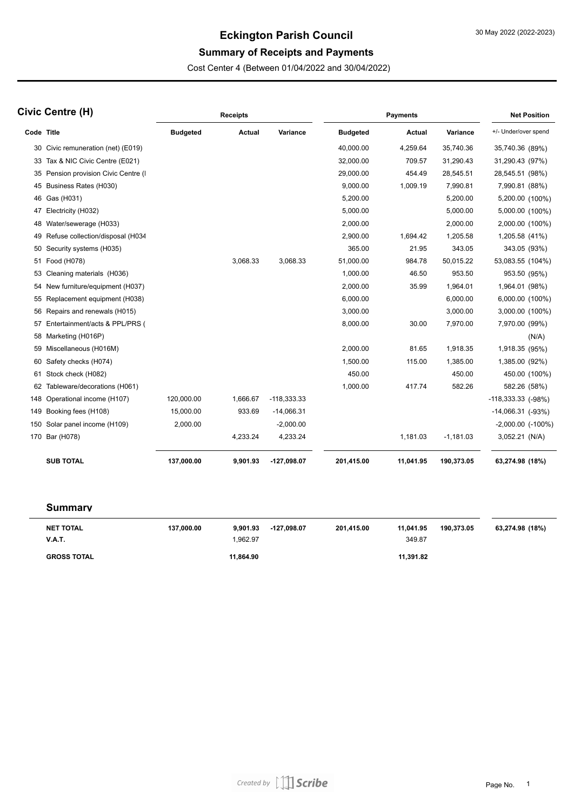# **Eckington Parish Council**

## **Summary of Receipts and Payments**

Cost Center 4 (Between 01/04/2022 and 30/04/2022)

| Civic Centre (H) |                                      | <b>Receipts</b> |               |               | <b>Payments</b> |               |             | <b>Net Position</b>       |
|------------------|--------------------------------------|-----------------|---------------|---------------|-----------------|---------------|-------------|---------------------------|
| Code Title       |                                      | <b>Budgeted</b> | <b>Actual</b> | Variance      | <b>Budgeted</b> | <b>Actual</b> | Variance    | +/- Under/over spend      |
|                  | 30 Civic remuneration (net) (E019)   |                 |               |               | 40,000.00       | 4,259.64      | 35,740.36   | 35,740.36 (89%)           |
|                  | 33 Tax & NIC Civic Centre (E021)     |                 |               |               | 32,000.00       | 709.57        | 31,290.43   | 31,290.43 (97%)           |
|                  | 35 Pension provision Civic Centre (I |                 |               |               | 29,000.00       | 454.49        | 28,545.51   | 28,545.51 (98%)           |
|                  | 45 Business Rates (H030)             |                 |               |               | 9,000.00        | 1,009.19      | 7,990.81    | 7,990.81 (88%)            |
|                  | 46 Gas (H031)                        |                 |               |               | 5,200.00        |               | 5,200.00    | 5,200.00 (100%)           |
|                  | 47 Electricity (H032)                |                 |               |               | 5,000.00        |               | 5,000.00    | 5,000.00 (100%)           |
| 48               | Water/sewerage (H033)                |                 |               |               | 2,000.00        |               | 2,000.00    | 2,000.00 (100%)           |
|                  | 49 Refuse collection/disposal (H034  |                 |               |               | 2,900.00        | 1,694.42      | 1,205.58    | 1,205.58 (41%)            |
|                  | 50 Security systems (H035)           |                 |               |               | 365.00          | 21.95         | 343.05      | 343.05 (93%)              |
|                  | 51 Food (H078)                       |                 | 3,068.33      | 3,068.33      | 51,000.00       | 984.78        | 50,015.22   | 53,083.55 (104%)          |
| 53               | Cleaning materials (H036)            |                 |               |               | 1,000.00        | 46.50         | 953.50      | 953.50 (95%)              |
|                  | 54 New furniture/equipment (H037)    |                 |               |               | 2,000.00        | 35.99         | 1,964.01    | 1,964.01 (98%)            |
| 55               | Replacement equipment (H038)         |                 |               |               | 6,000.00        |               | 6,000.00    | 6,000.00 (100%)           |
| 56               | Repairs and renewals (H015)          |                 |               |               | 3,000.00        |               | 3,000.00    | 3,000.00 (100%)           |
|                  | 57 Entertainment/acts & PPL/PRS (    |                 |               |               | 8,000.00        | 30.00         | 7,970.00    | 7,970.00 (99%)            |
|                  | 58 Marketing (H016P)                 |                 |               |               |                 |               |             | (N/A)                     |
| 59               | Miscellaneous (H016M)                |                 |               |               | 2,000.00        | 81.65         | 1,918.35    | 1,918.35 (95%)            |
|                  | 60 Safety checks (H074)              |                 |               |               | 1,500.00        | 115.00        | 1,385.00    | 1,385.00 (92%)            |
|                  | 61 Stock check (H082)                |                 |               |               | 450.00          |               | 450.00      | 450.00 (100%)             |
| 62               | Tableware/decorations (H061)         |                 |               |               | 1,000.00        | 417.74        | 582.26      | 582.26 (58%)              |
| 148              | Operational income (H107)            | 120,000.00      | 1,666.67      | $-118,333.33$ |                 |               |             | $-118,333.33$ ( $-98\%$ ) |
|                  | 149 Booking fees (H108)              | 15,000.00       | 933.69        | $-14,066.31$  |                 |               |             | $-14,066.31$ ( $-93\%$ )  |
|                  | 150 Solar panel income (H109)        | 2,000.00        |               | $-2,000.00$   |                 |               |             | $-2,000.00$ $(-100\%)$    |
|                  | 170 Bar (H078)                       |                 | 4,233.24      | 4,233.24      |                 | 1,181.03      | $-1,181.03$ | 3,052.21 (N/A)            |
|                  | <b>SUB TOTAL</b>                     | 137,000.00      | 9.901.93      | -127,098.07   | 201,415.00      | 11,041.95     | 190,373.05  | 63,274.98 (18%)           |

#### **Summary**

| NET TOTAL<br><b>V.A.T.</b> | 137,000.00 | 9.901.93<br>1.962.97 | -127.098.07 | 201.415.00 | 11.041.95<br>349.87 | 190.373.05 | 63,274.98 (18%) |
|----------------------------|------------|----------------------|-------------|------------|---------------------|------------|-----------------|
| <b>GROSS TOTAL</b>         |            | 11,864.90            |             |            | 11,391.82           |            |                 |